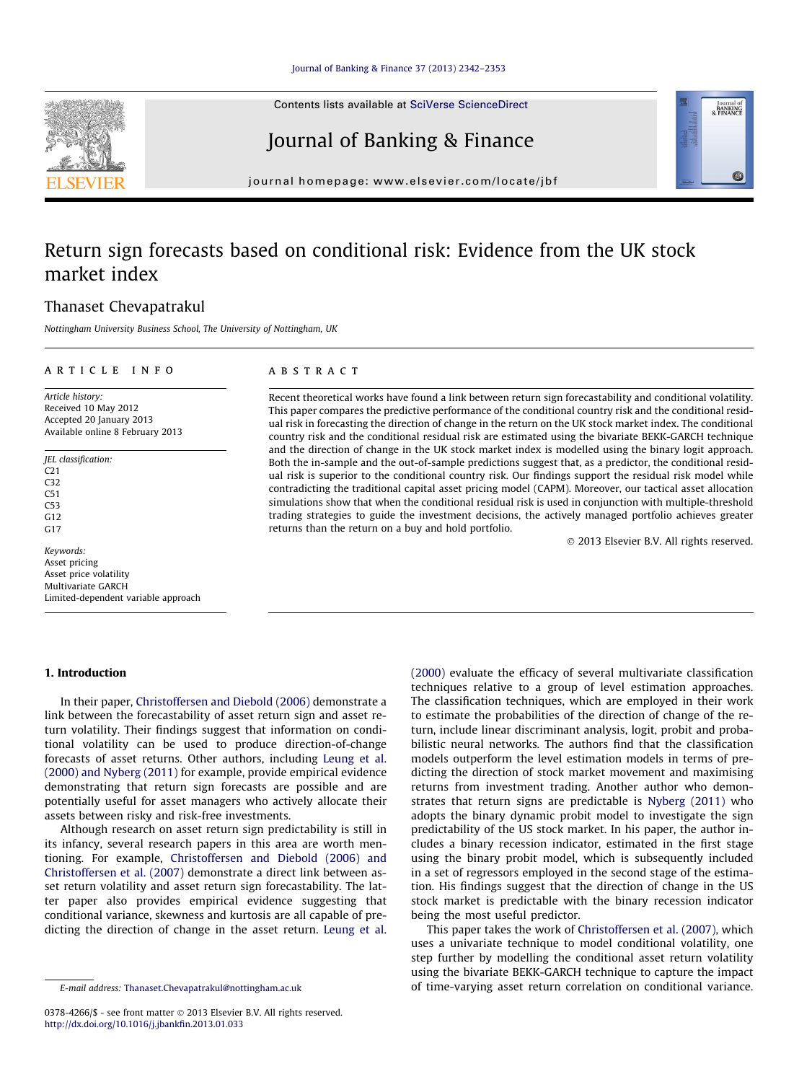Contents lists available at SciVerse ScienceDirect

## Journ al of Banking & Finance

journal homepage: [www.elsevier.com/locate/jbf](http://www.elsevier.com/locate/jbf)

## Return sign forecasts based on conditional risk: Evidence from the UK stock market index

### Thanaset Chevapatrakul

Nottingham University Business School, The University of Nottingham, UK

### article info

Article history: Received 10 May 2012 Accepted 20 January 2013 Available online 8 February 2013

JEL classification: C21 C32 C51 C53 G<sub>12</sub>  $G17$ Keywords:

Asset pricing Asset price volatility Multivariate GARCH Limited-dependent variable approach

## 1. Introduction

In their paper, [Christoffersen and Diebold \(2006\)](#page--1-0) demonstrate a link between the forecastability of asset return sign and asset return volatility. Their findings suggest that information on conditional volatility can be used to produce direction-of-change forecasts of asset returns. Other authors, including [Leung et al.](#page--1-0) [\(2000\) and Nyberg \(2011\)](#page--1-0) for example, provide empirical evidence demonstrating that return sign forecasts are possible and are potentially useful for asset managers who actively allocate their assets between risky and risk-free investments.

Although research on asset return sign predictability is still in its infancy, several research papers in this area are worth mentioning. For example, [Christoffersen and Diebold \(2006\) and](#page--1-0)  [Christoffersen et al. \(2007\)](#page--1-0) demonstrate a direct link between asset return volatility and asset return sign forecastability. The latter paper also provides empirical evidence suggesting that conditional variance, skewness and kurtosis are all capable of predicting the direction of change in the asset return. [Leung et al.](#page--1-0)

#### **ABSTRACT**

Recent theoretical works have found a link between return sign forecastability and conditional volatility. This paper compares the predictive performance of the conditional country risk and the conditional residual risk in forecasting the direction of change in the return on the UK stock market index. The conditional country risk and the conditional residual risk are estimated using the bivariate BEKK-GARCH technique and the direction of change in the UK stock market index is modelled using the binary logit approach. Both the in-sample and the out-of-sample predictions suggest that, as a predictor, the conditional residual risk is superior to the conditional country risk. Our findings support the residual risk model while contradicting the traditional capital asset pricing model (CAPM). Moreover, our tactical asset allocation simulations show that when the conditional residual risk is used in conjunction with multiple-threshold trading strategies to guide the investment decisions, the actively managed portfolio achieves greater returns than the return on a buy and hold portfolio.

- 2013 Elsevier B.V. All rights reserved.

[\(2000\)](#page--1-0) evaluate the efficacy of several multivariate classification techniques relative to a group of level estimation approaches. The classification techniques, which are employed in their work to estimate the probabilities of the direction of change of the return, include linear discriminant analysis, logit, probit and probabilistic neural networks. The authors find that the classification models outperform the level estimation models in terms of predicting the direction of stock market movement and maximising returns from investment trading. Another author who demonstrates that return signs are predictable is [Nyberg \(2011\)](#page--1-0) who adopts the binary dynamic probit model to investigate the sign predictability of the US stock market. In his paper, the author includes a binary recession indicator, estimated in the first stage using the binary probit model, which is subsequently included in a set of regressors employed in the second stage of the estimation. His findings suggest that the direction of change in the US stock market is predictable with the binary recession indicator being the most useful predictor.

This paper takes the work of [Christoffersen et al. \(2007\)](#page--1-0), which uses a univariate technique to model conditional volatility, one step further by modelling the conditional asset return volatility using the bivariate BEKK-GARCH technique to capture the impact of time-varying asset return correlation on conditional variance.





E-mail address: [Thanaset.Chevapatrakul@nottingham.ac.uk](mailto:Thanaset.Chevapatrakul@nottingham.ac.uk)

<sup>0378-4266/\$ -</sup> see front matter © 2013 Elsevier B.V. All rights reserved. <http://dx.doi.org/10.1016/j.jbankfin.2013.01.033>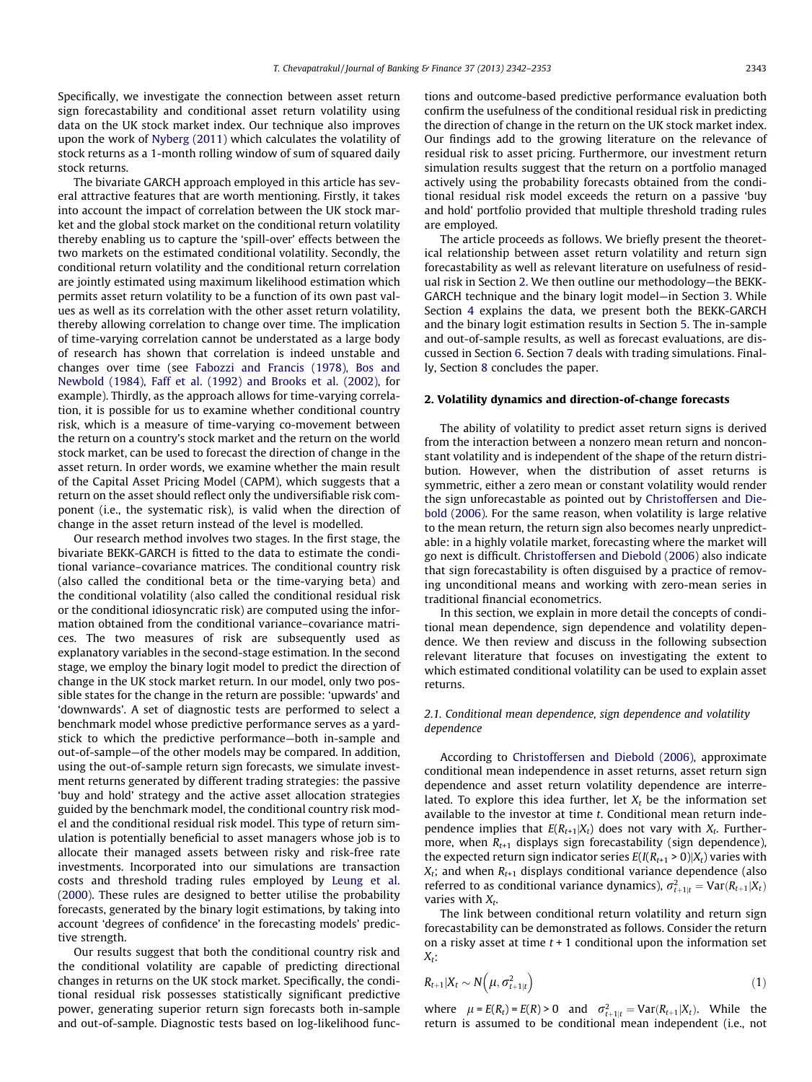Specifically, we investigate the connection between asset return sign forecastability and conditional asset return volatility using data on the UK stock market index. Our technique also improves upon the work of [Nyberg \(2011\)](#page--1-0) which calculates the volatility of stock returns as a 1-month rolling window of sum of squared daily stock returns.

The bivariate GARCH approach employed in this article has several attractive features that are worth mentioning. Firstly, it takes into account the impact of correlation between the UK stock market and the global stock market on the conditional return volatility thereby enabling us to capture the 'spill-over' effects between the two markets on the estimated conditional volatility. Secondly, the conditional return volatility and the conditional return correlation are jointly estimated using maximum likelihood estimation which permits asset return volatility to be a function of its own past values as well as its correlation with the other asset return volatility, thereby allowing correlation to change over time. The implication of time-varying correlation cannot be understated as a large body of research has shown that correlation is indeed unstable and changes over time (see [Fabozzi and Francis \(1978\), Bos and](#page--1-0)  [Newbold \(1984\), Faff et al. \(1992\) and Brooks et al. \(2002\)](#page--1-0), for example). Thirdly, as the approach allows for time-varying correlation, it is possible for us to examine whether conditional country risk, which is a measure of time-varying co-movement between the return on a country's stock market and the return on the world stock market, can be used to forecast the direction of change in the asset return. In order words, we examine whether the main result of the Capital Asset Pricing Model (CAPM), which suggests that a return on the asset should reflect only the undiversifiable risk component (i.e., the systematic risk), is valid when the direction of change in the asset return instead of the level is modelled.

Our research method involves two stages. In the first stage, the bivariate BEKK-GARCH is fitted to the data to estimate the conditional variance–covariance matrices. The conditional country risk (also called the conditional beta or the time-varying beta) and the conditional volatility (also called the conditional residual risk or the conditional idiosyncratic risk) are computed using the information obtained from the conditional variance–covariance matrices. The two measures of risk are subsequently used as explanatory variables in the second-stage estimation. In the second stage, we employ the binary logit model to predict the direction of change in the UK stock market return. In our model, only two possible states for the change in the return are possible: 'upwards' and 'downwards'. A set of diagnostic tests are performed to select a benchmark model whose predictive performance serves as a yardstick to which the predictive performance—both in-sample and out-of-sample-of the other models may be compared. In addition, using the out-of-sample return sign forecasts, we simulate investment returns generated by different trading strategies: the passive 'buy and hold' strategy and the active asset allocation strategies guided by the benchmark model, the conditional country risk model and the conditional residual risk model. This type of return simulation is potentially beneficial to asset managers whose job is to allocate their managed assets between risky and risk-free rate investments. Incorporated into our simulations are transaction costs and threshold trading rules employed by [Leung et al.](#page--1-0) [\(2000\)](#page--1-0). These rules are designed to better utilise the probability forecasts, generated by the binary logit estimations, by taking into account 'degrees of confidence' in the forecasting models' predictive strength.

Our results suggest that both the conditional country risk and the conditional volatility are capable of predicting directional changes in returns on the UK stock market. Specifically, the conditional residual risk possesses statistically significant predictive power, generating superior return sign forecasts both in-sample and out-of-sample. Diagnostic tests based on log-likelihood functions and outcome-based predictive performance evaluation both confirm the usefulness of the conditional residual risk in predicting the direction of change in the return on the UK stock market index. Our findings add to the growing literature on the relevance of residual risk to asset pricing. Furthermore, our investment return simulation results suggest that the return on a portfolio managed actively using the probability forecasts obtained from the conditional residual risk model exceeds the return on a passive 'buy and hold' portfolio provided that multiple threshold trading rules are employed.

The article proceeds as follows. We briefly present the theoretical relationship between asset return volatility and return sign forecastability as well as relevant literature on usefulness of residual risk in Section 2. We then outline our methodology—the BEKK-GARCH technique and the binary logit model—in Section [3](#page--1-0). While Section [4](#page--1-0) explains the data, we present both the BEKK-GARCH and the binary logit estimation results in Section [5](#page--1-0). The in-sample and out-of-sample results, as well as forecast evaluations, are dis-cussed in Section [6](#page--1-0). Section [7](#page--1-0) deals with trading simulations. Finally, Section [8](#page--1-0) concludes the paper.

### 2. Volatility dynamics and direction-of- change forecasts

The ability of volatility to predict asset return signs is derived from the interaction between a nonzero mean return and nonconstant volatility and is independent of the shape of the return distribution. However, when the distribution of asset returns is symmetric, either a zero mean or constant volatility would render the sign unforecastable as pointed out by Christoffersen and Die[bold \(2006\).](#page--1-0) For the same reason, when volatility is large relative to the mean return, the return sign also becomes nearly unpredictable: in a highly volatile market, forecasting where the market will go next is difficult. [Christoffersen and Diebold \(2006\)](#page--1-0) also indicate that sign forecastability is often disguised by a practice of removing unconditional means and working with zero-mean series in traditional financial econometrics.

In this section, we explain in more detail the concepts of conditional mean dependence, sign dependence and volatility dependence. We then review and discuss in the following subsection relevant literature that focuses on investigating the extent to which estimated conditional volatility can be used to explain asset returns.

### 2.1. Conditional mean dependence, sign dependence and volatility dependence

According to [Christoffersen and Diebold \(2006\),](#page--1-0) approximate conditional mean independence in asset returns, asset return sign dependence and asset return volatility dependence are interrelated. To explore this idea further, let  $X_t$  be the information set available to the investor at time t. Conditional mean return independence implies that  $E(R_{t+1}|X_t)$  does not vary with  $X_t$ . Furthermore, when  $R_{t+1}$  displays sign forecastability (sign dependence), the expected return sign indicator series  $E(I(R_{t+1} > 0)|X_t)$  varies with  $X_t$ ; and when  $R_{t+1}$  displays conditional variance dependence (also referred to as conditional variance dynamics),  $\sigma_{t+1|t}^2 = \text{Var}(R_{t+1}|X_t)$ varies with  $X_t$ .

The link between conditional return volatility and return sign forecastability can be demonstrated as follows. Consider the return on a risky asset at time  $t + 1$  conditional upon the information set  $X_t$ :

$$
R_{t+1}|X_t \sim N\left(\mu, \sigma_{t+1|t}^2\right) \tag{1}
$$

where  $\mu = E(R_t) = E(R) > 0$  and  $\sigma_{t+1|t}^2 = \text{Var}(R_{t+1}|X_t)$ . While the return is assumed to be conditional mean independent (i.e., not